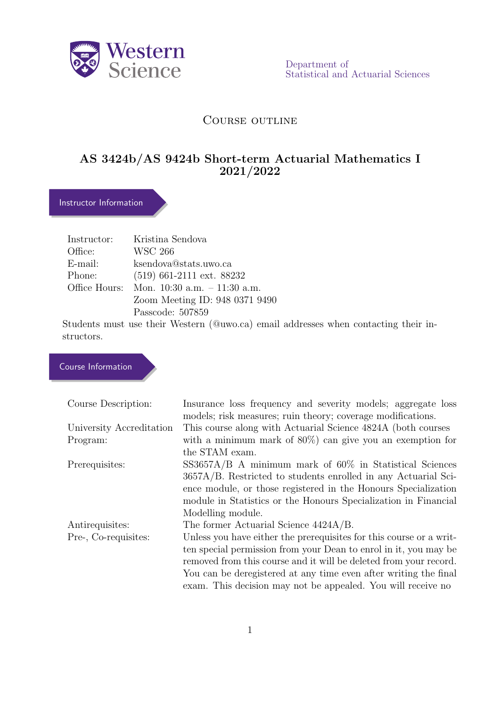

Department of Statistical and Actuarial Sciences

# COURSE OUTLINE

# AS 3424b/AS 9424b Short-term Actuarial Mathematics I 2021/2022

# Instructor Information

|            | Instructor: Kristina Sendova                  |
|------------|-----------------------------------------------|
| Office:    | WSC 266                                       |
| $E$ -mail: | ksendova@stats.uwo.ca                         |
| Phone:     | $(519)$ 661-2111 ext. 88232                   |
|            | Office Hours: Mon. $10:30$ a.m. $-11:30$ a.m. |
|            | Zoom Meeting ID: 948 0371 9490                |
|            | Passcode: 507859                              |
|            |                                               |

Students must use their Western (@uwo.ca) email addresses when contacting their instructors.

# Course Information

| Course Description:      | Insurance loss frequency and severity models; aggregate loss<br>models; risk measures; ruin theory; coverage modifications. |
|--------------------------|-----------------------------------------------------------------------------------------------------------------------------|
| University Accreditation | This course along with Actuarial Science 4824A (both courses                                                                |
| Program:                 | with a minimum mark of $80\%$ can give you an exemption for                                                                 |
|                          | the STAM exam.                                                                                                              |
| Prerequisites:           | $SS3657A/B$ A minimum mark of 60% in Statistical Sciences                                                                   |
|                          | 3657A/B. Restricted to students enrolled in any Actuarial Sci-                                                              |
|                          | ence module, or those registered in the Honours Specialization                                                              |
|                          | module in Statistics or the Honours Specialization in Financial                                                             |
|                          | Modelling module.                                                                                                           |
| Antirequisites:          | The former Actuarial Science 4424A/B.                                                                                       |
| Pre-, Co-requisites:     | Unless you have either the prerequisites for this course or a writ-                                                         |
|                          | ten special permission from your Dean to enrol in it, you may be                                                            |
|                          | removed from this course and it will be deleted from your record.                                                           |
|                          | You can be deregistered at any time even after writing the final                                                            |
|                          | exam. This decision may not be appealed. You will receive no                                                                |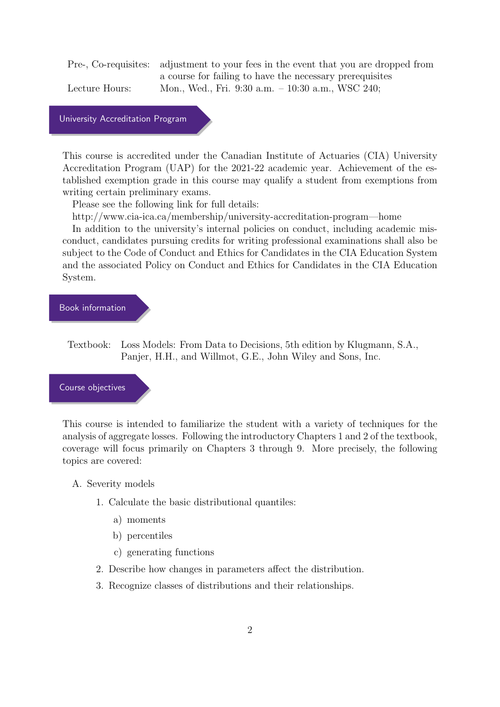Pre-, Co-requisites: adjustment to your fees in the event that you are dropped from a course for failing to have the necessary prerequisites Lecture Hours: Mon., Wed., Fri. 9:30 a.m. – 10:30 a.m., WSC 240;

University Accreditation Program

This course is accredited under the Canadian Institute of Actuaries (CIA) University Accreditation Program (UAP) for the 2021-22 academic year. Achievement of the established exemption grade in this course may qualify a student from exemptions from writing certain preliminary exams.

Please see the following link for full details:

http://www.cia-ica.ca/membership/university-accreditation-program—home

In addition to the university's internal policies on conduct, including academic misconduct, candidates pursuing credits for writing professional examinations shall also be subject to the Code of Conduct and Ethics for Candidates in the CIA Education System and the associated Policy on Conduct and Ethics for Candidates in the CIA Education System.

### Book information

Textbook: Loss Models: From Data to Decisions, 5th edition by Klugmann, S.A., Panjer, H.H., and Willmot, G.E., John Wiley and Sons, Inc.

#### Course objectives

This course is intended to familiarize the student with a variety of techniques for the analysis of aggregate losses. Following the introductory Chapters 1 and 2 of the textbook, coverage will focus primarily on Chapters 3 through 9. More precisely, the following topics are covered:

- A. Severity models
	- 1. Calculate the basic distributional quantiles:
		- a) moments
		- b) percentiles
		- c) generating functions
	- 2. Describe how changes in parameters affect the distribution.
	- 3. Recognize classes of distributions and their relationships.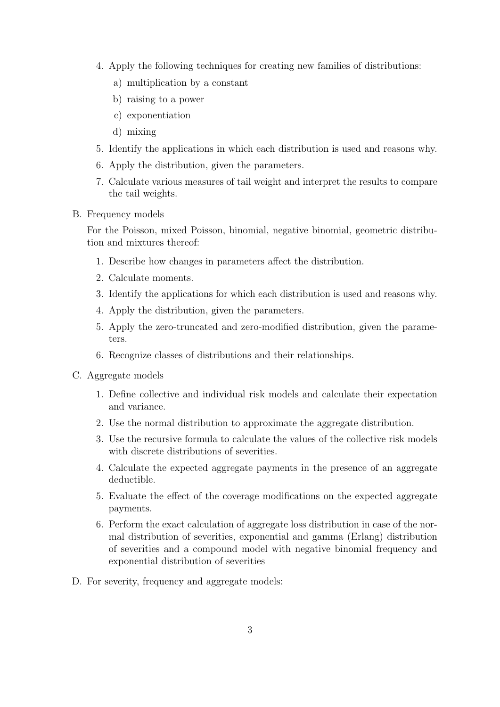- 4. Apply the following techniques for creating new families of distributions:
	- a) multiplication by a constant
	- b) raising to a power
	- c) exponentiation
	- d) mixing
- 5. Identify the applications in which each distribution is used and reasons why.
- 6. Apply the distribution, given the parameters.
- 7. Calculate various measures of tail weight and interpret the results to compare the tail weights.
- B. Frequency models

For the Poisson, mixed Poisson, binomial, negative binomial, geometric distribution and mixtures thereof:

- 1. Describe how changes in parameters affect the distribution.
- 2. Calculate moments.
- 3. Identify the applications for which each distribution is used and reasons why.
- 4. Apply the distribution, given the parameters.
- 5. Apply the zero-truncated and zero-modified distribution, given the parameters.
- 6. Recognize classes of distributions and their relationships.
- C. Aggregate models
	- 1. Define collective and individual risk models and calculate their expectation and variance.
	- 2. Use the normal distribution to approximate the aggregate distribution.
	- 3. Use the recursive formula to calculate the values of the collective risk models with discrete distributions of severities.
	- 4. Calculate the expected aggregate payments in the presence of an aggregate deductible.
	- 5. Evaluate the effect of the coverage modifications on the expected aggregate payments.
	- 6. Perform the exact calculation of aggregate loss distribution in case of the normal distribution of severities, exponential and gamma (Erlang) distribution of severities and a compound model with negative binomial frequency and exponential distribution of severities
- D. For severity, frequency and aggregate models: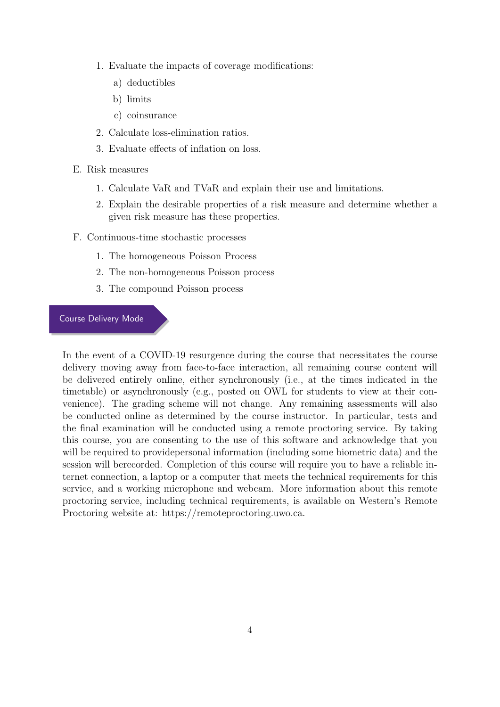- 1. Evaluate the impacts of coverage modifications:
	- a) deductibles
	- b) limits
	- c) coinsurance
- 2. Calculate loss-elimination ratios.
- 3. Evaluate effects of inflation on loss.
- E. Risk measures
	- 1. Calculate VaR and TVaR and explain their use and limitations.
	- 2. Explain the desirable properties of a risk measure and determine whether a given risk measure has these properties.
- F. Continuous-time stochastic processes
	- 1. The homogeneous Poisson Process
	- 2. The non-homogeneous Poisson process
	- 3. The compound Poisson process

## Course Delivery Mode

In the event of a COVID-19 resurgence during the course that necessitates the course delivery moving away from face-to-face interaction, all remaining course content will be delivered entirely online, either synchronously (i.e., at the times indicated in the timetable) or asynchronously (e.g., posted on OWL for students to view at their convenience). The grading scheme will not change. Any remaining assessments will also be conducted online as determined by the course instructor. In particular, tests and the final examination will be conducted using a remote proctoring service. By taking this course, you are consenting to the use of this software and acknowledge that you will be required to provide personal information (including some biometric data) and the session will berecorded. Completion of this course will require you to have a reliable internet connection, a laptop or a computer that meets the technical requirements for this service, and a working microphone and webcam. More information about this remote proctoring service, including technical requirements, is available on Western's Remote Proctoring website at: https://remoteproctoring.uwo.ca.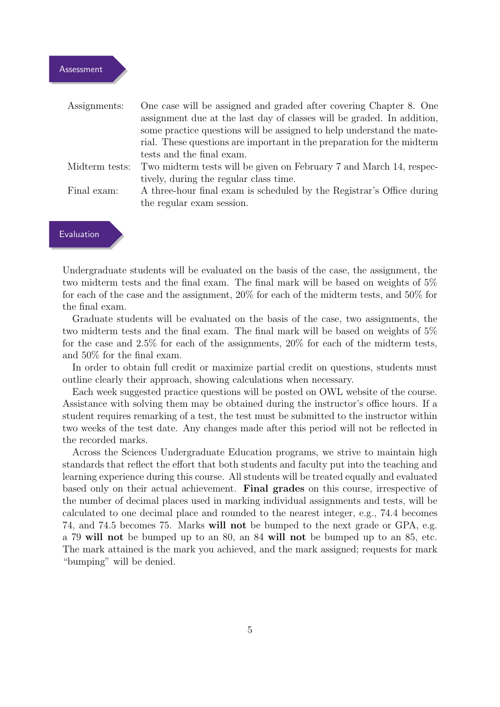| Assignments:   | One case will be assigned and graded after covering Chapter 8. One     |
|----------------|------------------------------------------------------------------------|
|                | assignment due at the last day of classes will be graded. In addition, |
|                | some practice questions will be assigned to help understand the mate-  |
|                | rial. These questions are important in the preparation for the midterm |
|                | tests and the final exam.                                              |
| Midterm tests: | Two midterm tests will be given on February 7 and March 14, respec-    |
|                | tively, during the regular class time.                                 |
| Final exam:    | A three-hour final exam is scheduled by the Registrar's Office during  |
|                | the regular exam session.                                              |
|                |                                                                        |



Undergraduate students will be evaluated on the basis of the case, the assignment, the two midterm tests and the final exam. The final mark will be based on weights of 5% for each of the case and the assignment, 20% for each of the midterm tests, and 50% for the final exam.

Graduate students will be evaluated on the basis of the case, two assignments, the two midterm tests and the final exam. The final mark will be based on weights of 5% for the case and 2.5% for each of the assignments, 20% for each of the midterm tests, and 50% for the final exam.

In order to obtain full credit or maximize partial credit on questions, students must outline clearly their approach, showing calculations when necessary.

Each week suggested practice questions will be posted on OWL website of the course. Assistance with solving them may be obtained during the instructor's office hours. If a student requires remarking of a test, the test must be submitted to the instructor within two weeks of the test date. Any changes made after this period will not be reflected in the recorded marks.

Across the Sciences Undergraduate Education programs, we strive to maintain high standards that reflect the effort that both students and faculty put into the teaching and learning experience during this course. All students will be treated equally and evaluated based only on their actual achievement. Final grades on this course, irrespective of the number of decimal places used in marking individual assignments and tests, will be calculated to one decimal place and rounded to the nearest integer, e.g., 74.4 becomes 74, and 74.5 becomes 75. Marks will not be bumped to the next grade or GPA, e.g. a 79 will not be bumped up to an 80, an 84 will not be bumped up to an 85, etc. The mark attained is the mark you achieved, and the mark assigned; requests for mark "bumping" will be denied.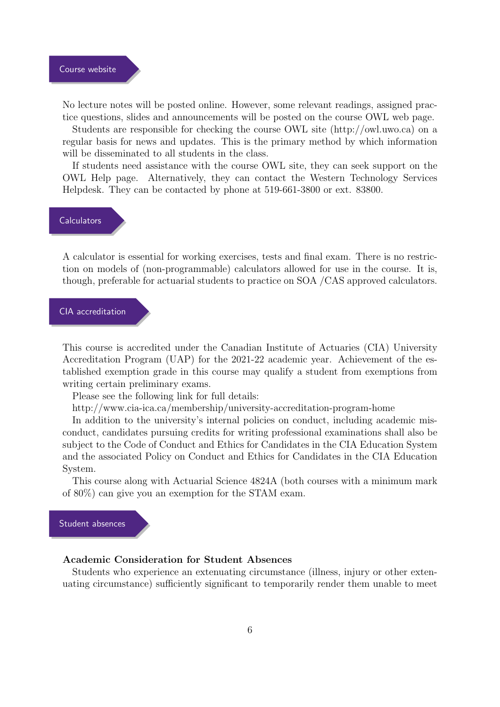No lecture notes will be posted online. However, some relevant readings, assigned practice questions, slides and announcements will be posted on the course OWL web page.

Students are responsible for checking the course OWL site (http://owl.uwo.ca) on a regular basis for news and updates. This is the primary method by which information will be disseminated to all students in the class.

If students need assistance with the course OWL site, they can seek support on the OWL Help page. Alternatively, they can contact the Western Technology Services Helpdesk. They can be contacted by phone at 519-661-3800 or ext. 83800.

## **Calculators**

A calculator is essential for working exercises, tests and final exam. There is no restriction on models of (non-programmable) calculators allowed for use in the course. It is, though, preferable for actuarial students to practice on SOA /CAS approved calculators.

# CIA accreditation

This course is accredited under the Canadian Institute of Actuaries (CIA) University Accreditation Program (UAP) for the 2021-22 academic year. Achievement of the established exemption grade in this course may qualify a student from exemptions from writing certain preliminary exams.

Please see the following link for full details:

http://www.cia-ica.ca/membership/university-accreditation-program-home

In addition to the university's internal policies on conduct, including academic misconduct, candidates pursuing credits for writing professional examinations shall also be subject to the Code of Conduct and Ethics for Candidates in the CIA Education System and the associated Policy on Conduct and Ethics for Candidates in the CIA Education System.

This course along with Actuarial Science 4824A (both courses with a minimum mark of 80%) can give you an exemption for the STAM exam.

# Student absences

## Academic Consideration for Student Absences

Students who experience an extenuating circumstance (illness, injury or other extenuating circumstance) sufficiently significant to temporarily render them unable to meet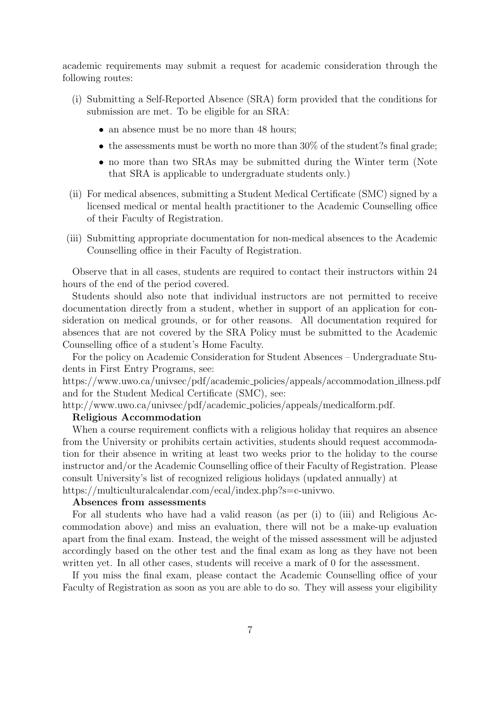academic requirements may submit a request for academic consideration through the following routes:

- (i) Submitting a Self-Reported Absence (SRA) form provided that the conditions for submission are met. To be eligible for an SRA:
	- an absence must be no more than 48 hours;
	- the assessments must be worth no more than  $30\%$  of the student?s final grade;
	- no more than two SRAs may be submitted during the Winter term (Note that SRA is applicable to undergraduate students only.)
- (ii) For medical absences, submitting a Student Medical Certificate (SMC) signed by a licensed medical or mental health practitioner to the Academic Counselling office of their Faculty of Registration.
- (iii) Submitting appropriate documentation for non-medical absences to the Academic Counselling office in their Faculty of Registration.

Observe that in all cases, students are required to contact their instructors within 24 hours of the end of the period covered.

Students should also note that individual instructors are not permitted to receive documentation directly from a student, whether in support of an application for consideration on medical grounds, or for other reasons. All documentation required for absences that are not covered by the SRA Policy must be submitted to the Academic Counselling office of a student's Home Faculty.

For the policy on Academic Consideration for Student Absences – Undergraduate Students in First Entry Programs, see:

https://www.uwo.ca/univsec/pdf/academic policies/appeals/accommodation illness.pdf and for the Student Medical Certificate (SMC), see:

http://www.uwo.ca/univsec/pdf/academic policies/appeals/medicalform.pdf.

### Religious Accommodation

When a course requirement conflicts with a religious holiday that requires an absence from the University or prohibits certain activities, students should request accommodation for their absence in writing at least two weeks prior to the holiday to the course instructor and/or the Academic Counselling office of their Faculty of Registration. Please consult University's list of recognized religious holidays (updated annually) at https://multiculturalcalendar.com/ecal/index.php?s=c-univwo.

#### Absences from assessments

For all students who have had a valid reason (as per (i) to (iii) and Religious Accommodation above) and miss an evaluation, there will not be a make-up evaluation apart from the final exam. Instead, the weight of the missed assessment will be adjusted accordingly based on the other test and the final exam as long as they have not been written yet. In all other cases, students will receive a mark of 0 for the assessment.

If you miss the final exam, please contact the Academic Counselling office of your Faculty of Registration as soon as you are able to do so. They will assess your eligibility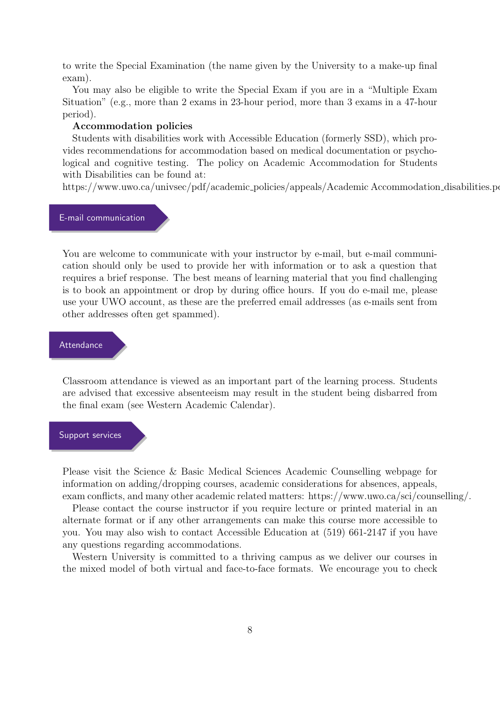to write the Special Examination (the name given by the University to a make-up final exam).

You may also be eligible to write the Special Exam if you are in a "Multiple Exam Situation" (e.g., more than 2 exams in 23-hour period, more than 3 exams in a 47-hour period).

#### Accommodation policies

Students with disabilities work with Accessible Education (formerly SSD), which provides recommendations for accommodation based on medical documentation or psychological and cognitive testing. The policy on Academic Accommodation for Students with Disabilities can be found at:

https://www.uwo.ca/univsec/pdf/academic\_policies/appeals/Academic Accommodation\_disabilities.po

#### E-mail communication

You are welcome to communicate with your instructor by e-mail, but e-mail communication should only be used to provide her with information or to ask a question that requires a brief response. The best means of learning material that you find challenging is to book an appointment or drop by during office hours. If you do e-mail me, please use your UWO account, as these are the preferred email addresses (as e-mails sent from other addresses often get spammed).

### Attendance

Classroom attendance is viewed as an important part of the learning process. Students are advised that excessive absenteeism may result in the student being disbarred from the final exam (see Western Academic Calendar).

### Support services

Please visit the Science & Basic Medical Sciences Academic Counselling webpage for information on adding/dropping courses, academic considerations for absences, appeals, exam conflicts, and many other academic related matters: https://www.uwo.ca/sci/counselling/.

Please contact the course instructor if you require lecture or printed material in an alternate format or if any other arrangements can make this course more accessible to you. You may also wish to contact Accessible Education at (519) 661-2147 if you have any questions regarding accommodations.

Western University is committed to a thriving campus as we deliver our courses in the mixed model of both virtual and face-to-face formats. We encourage you to check